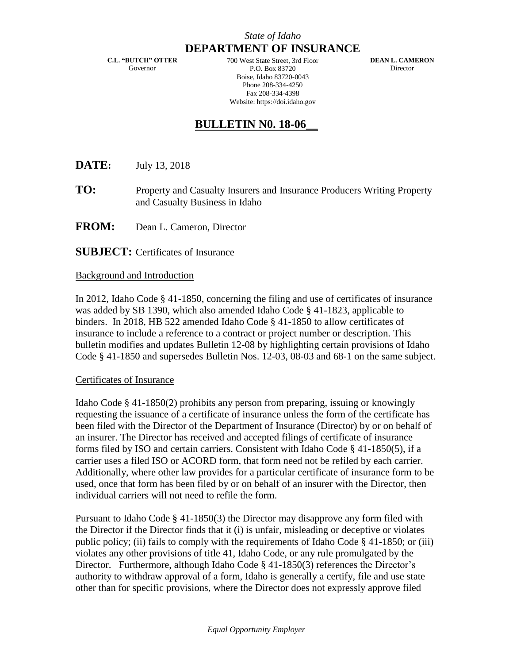**C.L. "BUTCH" OTTER** Governor

700 West State Street, 3rd Floor P.O. Box 83720 Boise, Idaho 83720-0043 Phone 208-334-4250 Fax 208-334-4398 Website: https://doi.idaho.gov

**DEAN L. CAMERON** Director

## **BULLETIN N0. 18-06\_\_**

**DATE:** July 13, 2018

- **TO:** Property and Casualty Insurers and Insurance Producers Writing Property and Casualty Business in Idaho
- **FROM:** Dean L. Cameron, Director

**SUBJECT:** Certificates of Insurance

## Background and Introduction

In 2012, Idaho Code § 41-1850, concerning the filing and use of certificates of insurance was added by SB 1390, which also amended Idaho Code § 41-1823, applicable to binders. In 2018, HB 522 amended Idaho Code § 41-1850 to allow certificates of insurance to include a reference to a contract or project number or description. This bulletin modifies and updates Bulletin 12-08 by highlighting certain provisions of Idaho Code § 41-1850 and supersedes Bulletin Nos. 12-03, 08-03 and 68-1 on the same subject.

## Certificates of Insurance

Idaho Code § 41-1850(2) prohibits any person from preparing, issuing or knowingly requesting the issuance of a certificate of insurance unless the form of the certificate has been filed with the Director of the Department of Insurance (Director) by or on behalf of an insurer. The Director has received and accepted filings of certificate of insurance forms filed by ISO and certain carriers. Consistent with Idaho Code § 41-1850(5), if a carrier uses a filed ISO or ACORD form, that form need not be refiled by each carrier. Additionally, where other law provides for a particular certificate of insurance form to be used, once that form has been filed by or on behalf of an insurer with the Director, then individual carriers will not need to refile the form.

Pursuant to Idaho Code § 41-1850(3) the Director may disapprove any form filed with the Director if the Director finds that it (i) is unfair, misleading or deceptive or violates public policy; (ii) fails to comply with the requirements of Idaho Code § 41-1850; or (iii) violates any other provisions of title 41, Idaho Code, or any rule promulgated by the Director. Furthermore, although Idaho Code § 41-1850(3) references the Director's authority to withdraw approval of a form, Idaho is generally a certify, file and use state other than for specific provisions, where the Director does not expressly approve filed